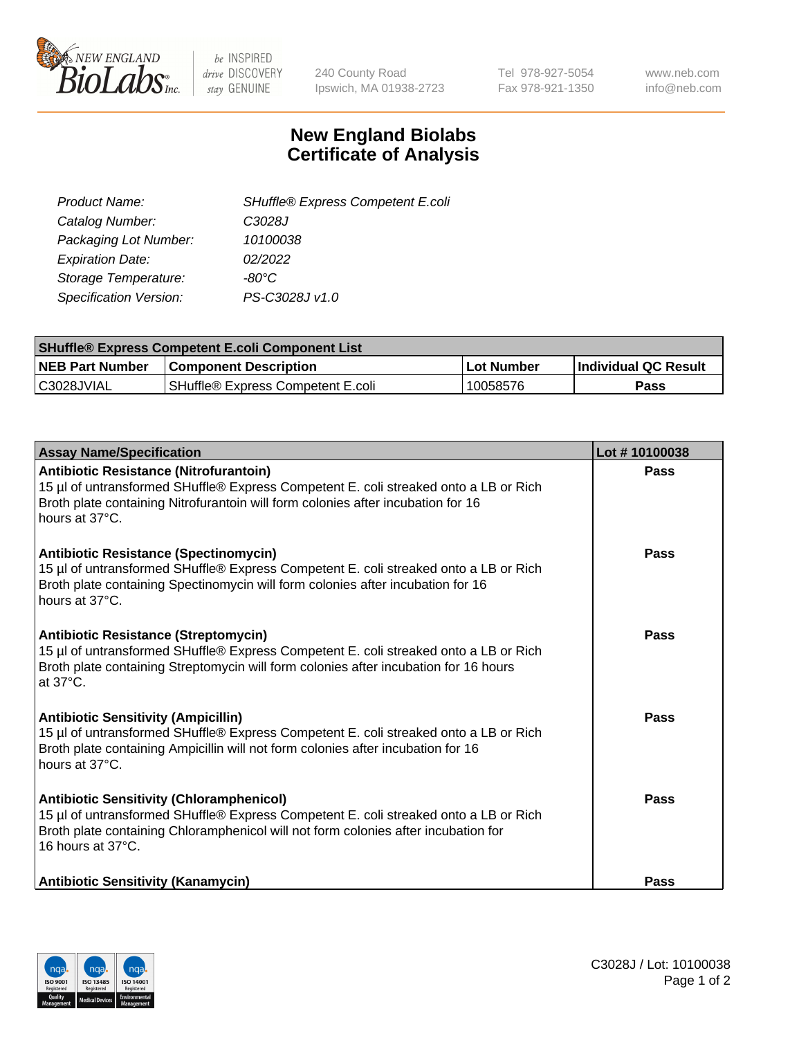

be INSPIRED drive DISCOVERY stay GENUINE

240 County Road Ipswich, MA 01938-2723 Tel 978-927-5054 Fax 978-921-1350 www.neb.com info@neb.com

## **New England Biolabs Certificate of Analysis**

| SHuffle® Express Competent E.coli |
|-----------------------------------|
| C3028J                            |
| 10100038                          |
| 02/2022                           |
| -80°C                             |
| PS-C3028J v1.0                    |
|                                   |

| <b>SHuffle® Express Competent E.coli Component List</b> |                                   |                   |                             |  |
|---------------------------------------------------------|-----------------------------------|-------------------|-----------------------------|--|
| <b>NEB Part Number</b>                                  | <b>Component Description</b>      | <b>Lot Number</b> | <b>Individual QC Result</b> |  |
| C3028JVIAL                                              | SHuffle® Express Competent E.coli | 10058576          | Pass                        |  |

| <b>Assay Name/Specification</b>                                                                                                                                                                                                                    | Lot #10100038 |
|----------------------------------------------------------------------------------------------------------------------------------------------------------------------------------------------------------------------------------------------------|---------------|
| Antibiotic Resistance (Nitrofurantoin)<br>15 µl of untransformed SHuffle® Express Competent E. coli streaked onto a LB or Rich<br>Broth plate containing Nitrofurantoin will form colonies after incubation for 16<br>hours at 37°C.               | Pass          |
| <b>Antibiotic Resistance (Spectinomycin)</b><br>15 µl of untransformed SHuffle® Express Competent E. coli streaked onto a LB or Rich<br>Broth plate containing Spectinomycin will form colonies after incubation for 16<br>hours at 37°C.          | Pass          |
| <b>Antibiotic Resistance (Streptomycin)</b><br>15 µl of untransformed SHuffle® Express Competent E. coli streaked onto a LB or Rich<br>Broth plate containing Streptomycin will form colonies after incubation for 16 hours<br>at 37°C.            | Pass          |
| <b>Antibiotic Sensitivity (Ampicillin)</b><br>15 µl of untransformed SHuffle® Express Competent E. coli streaked onto a LB or Rich<br>Broth plate containing Ampicillin will not form colonies after incubation for 16<br>hours at 37°C.           | <b>Pass</b>   |
| <b>Antibiotic Sensitivity (Chloramphenicol)</b><br>15 µl of untransformed SHuffle® Express Competent E. coli streaked onto a LB or Rich<br>Broth plate containing Chloramphenicol will not form colonies after incubation for<br>16 hours at 37°C. | Pass          |
| <b>Antibiotic Sensitivity (Kanamycin)</b>                                                                                                                                                                                                          | <b>Pass</b>   |